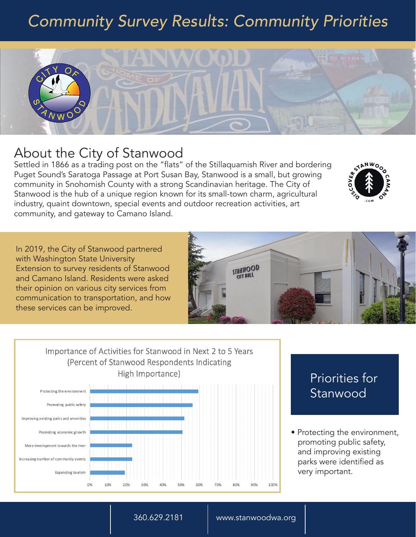# *Community Survey Results: Community Priorities*



## About the City of Stanwood

Settled in 1866 as a trading post on the "flats" of the Stillaquamish River and bordering Puget Sound's Saratoga Passage at Port Susan Bay, Stanwood is a small, but growing community in Snohomish County with a strong Scandinavian heritage. The City of Stanwood is the hub of a unique region known for its small-town charm, agricultural industry, quaint downtown, special events and outdoor recreation activities, art community, and gateway to Camano Island.

In 2019, the City of Stanwood partnered with Washington State University Extension to survey residents of Stanwood and Camano Island. Residents were asked their opinion on various city services from communication to transportation, and how these services can be improved.



Importance of Activities for Stanwood in Next 2 to 5 Years (Percent of Stanwood Respondents Indicating High Importance)



## Priorities for Stanwood

STANWO

• Protecting the environment, promoting public safety, and improving existing parks were identified as very important.